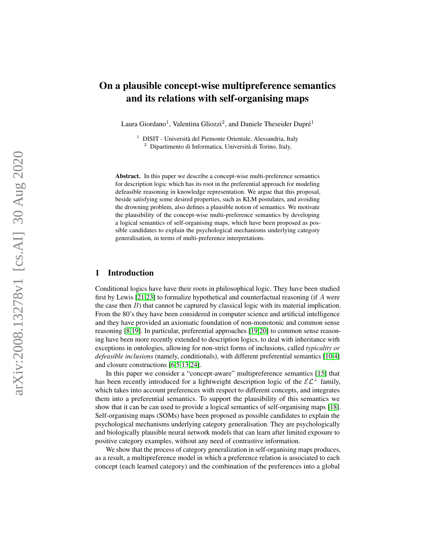# On a plausible concept-wise multipreference semantics and its relations with self-organising maps

Laura Giordano<sup>1</sup>, Valentina Gliozzi<sup>2</sup>, and Daniele Theseider Dupré<sup>1</sup>

 $1$  DISIT - Università del Piemonte Orientale, Alessandria, Italy  $2$  Dipartimento di Informatica, Università di Torino, Italy,

Abstract. In this paper we describe a concept-wise multi-preference semantics for description logic which has its root in the preferential approach for modeling defeasible reasoning in knowledge representation. We argue that this proposal, beside satisfying some desired properties, such as KLM postulates, and avoiding the drowning problem, also defines a plausible notion of semantics. We motivate the plausibility of the concept-wise multi-preference semantics by developing a logical semantics of self-organising maps, which have been proposed as possible candidates to explain the psychological mechanisms underlying category generalisation, in terms of multi-preference interpretations.

# 1 Introduction

Conditional logics have have their roots in philosophical logic. They have been studied first by Lewis [\[21](#page-12-0)[,23\]](#page-12-1) to formalize hypothetical and counterfactual reasoning (if A were the case then  $B$ ) that cannot be captured by classical logic with its material implication. From the 80's they have been considered in computer science and artificial intelligence and they have provided an axiomatic foundation of non-monotonic and common sense reasoning [ [8](#page-12-2) [,19\]](#page-12-3). In particular, preferential approaches [\[19](#page-12-3) [,20\]](#page-12-4) to common sense reasoning have been more recently extended to description logics, to deal with inheritance with exceptions in ontologies, allowing for non-strict forms of inclusions, called *typicality or* defeasible inclusions (namely, conditionals), with different preferential semantics [\[10](#page-12-5),[4](#page-11-0)] and closure constructions [\[6](#page-12-6)[,5](#page-12-7)[,13,](#page-12-8)[24\]](#page-12-9).

In this paper we consider a "concept-aware" multipreference semantics [\[15\]](#page-12-10) that has been recently introduced for a lightweight description logic of the  $\mathcal{EL}^{\perp}$  family, which takes into account preferences with respect to different concepts, and integrates them into a preferential semantics. To support the plausibility of this semantics we show that it can be can used to provide a logical semantics of self-organising maps [\[18\]](#page-12-11). Self-organising maps (SOMs) have been proposed as possible candidates to explain the psychological mechanisms underlying category generalisation. They are psychologically and biologically plausible neural network models that can learn after limited exposure to positive category examples, without any need of contrastive information.

We show that the process of category generalization in self-organising maps produces, as a result, a multipreference model in which a preference relation is associated to each concept (each learned category) and the combination of the preferences into a global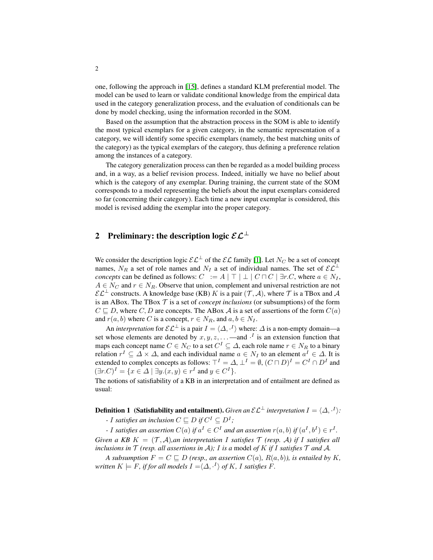one, following the approach in [\[15\]](#page-12-10), defines a standard KLM preferential model. The model can be used to learn or validate conditional knowledge from the empirical data used in the category generalization process, and the evaluation of conditionals can be done by model checking, using the information recorded in the SOM.

Based on the assumption that the abstraction process in the SOM is able to identify the most typical exemplars for a given category, in the semantic representation of a category, we will identify some specific exemplars (namely, the best matching units of the category) as the typical exemplars of the category, thus defining a preference relation among the instances of a category.

The category generalization process can then be regarded as a model building process and, in a way, as a belief revision process. Indeed, initially we have no belief about which is the category of any exemplar. During training, the current state of the SOM corresponds to a model representing the beliefs about the input exemplars considered so far (concerning their category). Each time a new input exemplar is considered, this model is revised adding the exemplar into the proper category.

# <span id="page-1-0"></span>2 Preliminary: the description logic  $\mathcal{EL}^{\perp}$

We consider the description logic  $\mathcal{EL}^{\perp}$  of the  $\mathcal{EL}$  family [\[1\]](#page-11-1). Let  $N_C$  be a set of concept names,  $N_R$  a set of role names and  $N_I$  a set of individual names. The set of  $\mathcal{EL}^{\perp}$ *concepts* can be defined as follows:  $C := A | \top | \bot | C \sqcap C | \exists r.C$ , where  $a \in N_I$ ,  $A \in N_C$  and  $r \in N_R$ . Observe that union, complement and universal restriction are not  $\mathcal{EL}^{\perp}$  constructs. A knowledge base (KB) K is a pair  $(\mathcal{T}, \mathcal{A})$ , where T is a TBox and A is an ABox. The TBox  $\mathcal T$  is a set of *concept inclusions* (or subsumptions) of the form  $C \sqsubseteq D$ , where  $C, D$  are concepts. The ABox A is a set of assertions of the form  $C(a)$ and  $r(a, b)$  where C is a concept,  $r \in N_R$ , and  $a, b \in N_I$ .

An *interpretation* for  $\mathcal{EL}^{\perp}$  is a pair  $I = \langle \Delta, \cdot^I \rangle$  where:  $\Delta$  is a non-empty domain—a set whose elements are denoted by  $x, y, z, \ldots$  —and  $\cdot^{I}$  is an extension function that maps each concept name  $C \in N_C$  to a set  $C^I \subseteq \Delta$ , each role name  $r \in N_R$  to a binary relation  $r^I \subseteq \Delta \times \Delta$ , and each individual name  $a \in N_I$  to an element  $a^I \in \Delta$ . It is extended to complex concepts as follows:  $\top^I = \Delta$ ,  $\bot^I = \emptyset$ ,  $(C \sqcap D)^I = C^I \cap D^I$  and  $(\exists r.C)^{I} = \{x \in \Delta \mid \exists y.(x, y) \in r^{I} \text{ and } y \in C^{I}\}.$ 

The notions of satisfiability of a KB in an interpretation and of entailment are defined as usual:

**Definition 1** (Satisfiability and entailment). *Given an*  $\mathcal{EL}^{\perp}$  *interpretation*  $I = \langle \Delta, \cdot^{I} \rangle$ :

*-* I satisfies an inclusion  $C \sqsubseteq D$  if  $C^I \subseteq D^I$ ;

*-* I satisfies an assertion  $C(a)$  if  $a^I \in C^I$  and an assertion  $r(a, b)$  if  $(a^I, b^I) \in r^I$ .

*Given a KB*  $K = (T, \mathcal{A})$ *,an interpretation* I *satisfies*  $T$  *(resp. A) if* I *satisfies all inclusions in*  $\mathcal T$  *(resp. all assertions in* A*);* I *is a* model *of* K *if* I *satisfies*  $\mathcal T$  *and* A.

*A subsumption*  $F = C \sqsubseteq D$  *(resp., an assertion*  $C(a)$ *,*  $R(a, b)$ *), is entailed by* K*, written*  $K \models F$ , *if for all models*  $I = \langle \Delta, \cdot^I \rangle$  *of* K, I satisfies F.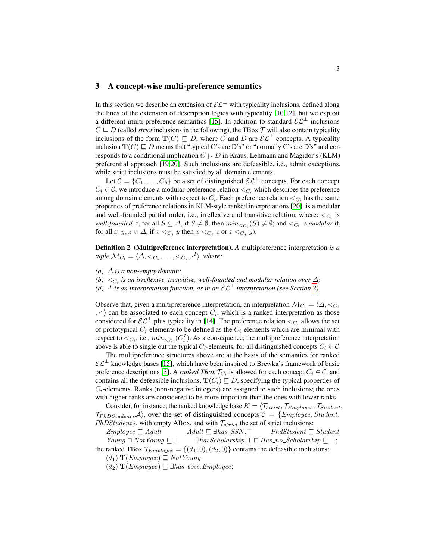# <span id="page-2-1"></span>3 A concept-wise multi-preference semantics

In this section we describe an extension of  $\mathcal{EL}^{\perp}$  with typicality inclusions, defined along the lines of the extension of description logics with typicality [\[10,](#page-12-5)[12\]](#page-12-12), but we exploit a different multi-preference semantics [\[15\]](#page-12-10). In addition to standard  $\mathcal{EL}^{\perp}$  inclusions  $C \sqsubseteq D$  (called *strict* inclusions in the following), the TBox  $\mathcal T$  will also contain typicality inclusions of the form  $\mathbf{T}(C) \sqsubseteq D$ , where C and D are  $\mathcal{EL}^{\perp}$  concepts. A typicality inclusion  $T(C) \sqsubseteq D$  means that "typical C's are D's" or "normally C's are D's" and corresponds to a conditional implication  $C \sim D$  in Kraus, Lehmann and Magidor's (KLM) preferential approach [\[19](#page-12-3)[,20\]](#page-12-4). Such inclusions are defeasible, i.e., admit exceptions, while strict inclusions must be satisfied by all domain elements.

Let  $C = \{C_1, \ldots, C_k\}$  be a set of distinguished  $\mathcal{EL}^{\perp}$  concepts. For each concept  $C_i \in \mathcal{C}$ , we introduce a modular preference relation  $\langle C_i \rangle$  which describes the preference among domain elements with respect to  $C_i$ . Each preference relation  $\lt_{C_i}$  has the same properties of preference relations in KLM-style ranked interpretations [\[20\]](#page-12-4), is a modular and well-founded partial order, i.e., irreflexive and transitive relation, where:  $\lt_{C_i}$  is well-founded if, for all  $S \subseteq \Delta$ , if  $S \neq \emptyset$ , then  $min_{\leq C_i}(S) \neq \emptyset$ ; and  $\leq_{C_i}$  is *modular* if, for all  $x, y, z \in \Delta$ , if  $x <_{C_j} y$  then  $x <_{C_j} z$  or  $z <_{C_j} y$ ).

<span id="page-2-0"></span>Definition 2 (Multipreference interpretation). *A* multipreference interpretation *is a*  $\mathit{tuple} \; \mathcal{M}_{C_i} = \langle \Delta, \langle C_1, \ldots, \langle C_k, \cdot^I \rangle, \mathit{where:} \rangle$ 

- *(a)*  $\Delta$  *is a non-empty domain;*
- $(b) <_{C_i}$  is an irreflexive, transitive, well-founded and modular relation over  $\Delta$ ;
- *(d)*  $\cdot$ <sup>*I*</sup> *is an interpretation function, as in an*  $\mathcal{EL}^{\perp}$  *interpretation (see Section [2\)](#page-1-0).*

Observe that, given a multipreference interpretation, an interpretation  $\mathcal{M}_{C_i} = \langle \Delta, \langle C_i \rangle$  $\langle \cdot^I \rangle$  can be associated to each concept  $C_i$ , which is a ranked interpretation as those considered for  $\mathcal{EL}^{\perp}$  plus typicality in [\[14\]](#page-12-13). The preference relation  $\lt_{C_i}$  allows the set of prototypical  $C_i$ -elements to be defined as the  $C_i$ -elements which are minimal with respect to  $\langle C_i, i.e., min_{\langle C_i} (C_i^I) \rangle$ . As a consequence, the multipreference interpretation above is able to single out the typical  $C_i$ -elements, for all distinguished concepts  $C_i \in \mathcal{C}$ .

The multipreference structures above are at the basis of the semantics for ranked  $\mathcal{EL}^{\perp}$  knowledge bases [\[15\]](#page-12-10), which have been inspired to Brewka's framework of basic preference descriptions [\[3\]](#page-11-2). A *ranked TBox*  $\mathcal{T}_{C_i}$  is allowed for each concept  $C_i \in \mathcal{C}$ , and contains all the defeasible inclusions,  $T(C_i) \sqsubseteq D$ , specifying the typical properties of  $C_i$ -elements. Ranks (non-negative integers) are assigned to such inclusions; the ones with higher ranks are considered to be more important than the ones with lower ranks.

Consider, for instance, the ranked knowledge base  $K = \langle \mathcal{T}_{strict}, \mathcal{T}_{Employee}, \mathcal{T}_{Student},$  $\mathcal{T}_{PhDStudent}, \mathcal{A}$ , over the set of distinguished concepts  $\mathcal{C} = \{Employee, Student,$  $PhDStudent$ , with empty ABox, and with  $\mathcal{T}_{strict}$  the set of strict inclusions:

 $Employee \sqsubseteq Adult$   $Adult \sqsubseteq \exists has \_SSN.\top$   $PhdStudent \sqsubseteq Student$  $Young ⊓ ∤ ⋅ → \exists hasScholarship. ⊤ ⊓ HasSchoalarship. ≈ 0, so we have: 0.505$ the ranked TBox  $\mathcal{T}_{Employee} = \{(d_1, 0), (d_2, 0)\}$  contains the defeasible inclusions:

 $(d_1)$  **T**(*Employee*)  $\subseteq$  *NotYoung* 

 $(d_2)$  **T**(*Employee*)  $\sqsubseteq$  ∃*has boss.Employee*;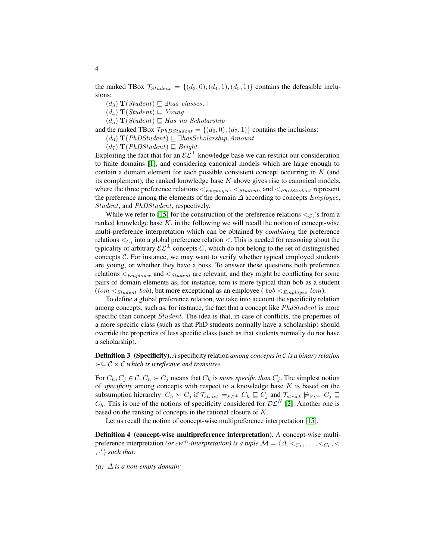the ranked TBox  $\mathcal{T}_{Student} = \{(d_3, 0), (d_4, 1), (d_5, 1)\}\$ contains the defeasible inclusions:

 $(d_3)$  **T**(*Student*)  $\sqsubseteq$  ∃has classes. $\top$ 

 $(d_4)$   $\mathbf{T}(Student) \sqsubseteq Young$ 

 $(d_5)$  **T**(*Student*)  $\subseteq$  *Has no Scholarship* 

and the ranked TBox  $\mathcal{T}_{PhDStudent} = \{(d_6, 0), (d_7, 1)\}$  contains the inclusions:

 $(d_6)$  **T**(PhDStudent)  $\sqsubseteq$  ∃hasScholarship.Amount

 $(d_7)$  **T**(*PhDStudent*)  $\subseteq$  *Bright* 

Exploiting the fact that for an  $\mathcal{EL}^{\perp}$  knowledge base we can restrict our consideration to finite domains [\[1\]](#page-11-1), and considering canonical models which are large enough to contain a domain element for each possible consistent concept occurring in K (and its complement), the ranked knowledge base  $K$  above gives rise to canonical models. where the three preference relations  $\leq_{Employee}$ ,  $\leq_{Student}$ , and  $\leq_{PhDStudent}$  represent the preference among the elements of the domain  $\Delta$  according to concepts  $Employee$ , Student, and PhDStudent, respectively.

While we refer to [\[15\]](#page-12-10) for the construction of the preference relations  $\langle C_i \rangle$ 's from a ranked knowledge base  $K$ , in the following we will recall the notion of concept-wise multi-preference interpretation which can be obtained by *combining* the preference relations  $\langle C_i \rangle$  into a global preference relation  $\langle \rangle$ . This is needed for reasoning about the typicality of arbitrary  $\mathcal{EL}^{\perp}$  concepts C, which do not belong to the set of distinguished concepts C. For instance, we may want to verify whether typical employed students are young, or whether they have a boss. To answer these questions both preference relations  $\leq_{Employee}$  and  $\leq_{Student}$  are relevant, and they might be conflicting for some pairs of domain elements as, for instance, tom is more typical than bob as a student (tom  $\leq_{Student}$  bob), but more exceptional as an employee ( bob  $\leq_{Employee}$  tom).

To define a global preference relation, we take into account the specificity relation among concepts, such as, for instance, the fact that a concept like *PhdStudent* is more specific than concept *Student*. The idea is that, in case of conflicts, the properties of a more specific class (such as that PhD students normally have a scholarship) should override the properties of less specific class (such as that students normally do not have a scholarship).

Definition 3 (Specificity). *A* specificity relation *among concepts in* C *is a binary relation*  $\succ \subseteq \mathcal{C} \times \mathcal{C}$  *which is irreflexive and transitive.* 

For  $C_h, C_j \in \mathcal{C}, C_h \succ C_j$  means that  $C_h$  is *more specific than*  $C_j$ . The simplest notion of *specificity* among concepts with respect to a knowledge base K is based on the subsumption hierarchy:  $C_h \succ C_j$  if  $\mathcal{T}_{strict} \models_{\mathcal{EL}^\perp} C_h \sqsubseteq C_j$  and  $\mathcal{T}_{strict} \not\models_{\mathcal{EL}^\perp} C_j \sqsubseteq$  $C_h$ . This is one of the notions of specificity considered for  $\mathcal{DL}^N$  [\[2\]](#page-11-3). Another one is based on the ranking of concepts in the rational closure of K.

<span id="page-3-0"></span>Let us recall the notion of concept-wise multipreference interpretation [\[15\]](#page-12-10).

Definition 4 (concept-wise multipreference interpretation). *A* concept-wise multipreference interpretation *(or cw<sup>m</sup>-interpretation)* is a tuple  $\mathcal{M} = \langle \Delta, \langle C_1, \ldots, \langle C_k, \langle \rangle \rangle \rangle$  $, \cdot^{I}$  *such that:* 

*(a)*  $\Delta$  *is a non-empty domain;*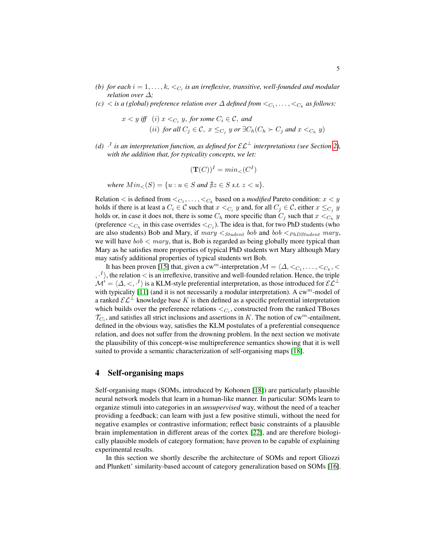- (b) for each  $i = 1, \ldots, k, \leq_{C_i}$  is an irreflexive, transitive, well-founded and modular *relation over* ∆*;*
- *(c)*  $\langle$  *is a (global) preference relation over*  $\Delta$  *defined from*  $\langle C_1, \ldots, \langle C_k \rangle$  *as follows:*

$$
x < y \text{ iff } (i) \ x <_{C_i} y, \text{ for some } C_i \in \mathcal{C}, \text{ and}
$$
  
(ii) for all  $C_j \in \mathcal{C}, \ x \le_{C_j} y \text{ or } \exists C_h (C_h \succ C_j \text{ and } x <_{C_h} y)$ 

*(d)*  $\cdot$ <sup>*I*</sup> is an interpretation function, as defined for  $\mathcal{EL}^{\perp}$  interpretations (see Section [2\)](#page-1-0), *with the addition that, for typicality concepts, we let:*

$$
(\mathbf{T}(C))^I = \min \langle C^I \rangle
$$

*where*  $Min_{\leq}(S) = \{u : u \in S \text{ and } \nexists z \in S \text{ s.t. } z < u\}.$ 

Relation  $\lt$  is defined from  $\lt_{C_1}, \ldots, \lt_{C_k}$  based on a *modified* Pareto condition:  $x \lt y$ holds if there is at least a  $C_i \in \mathcal{C}$  such that  $x <_{C_i} y$  and, for all  $C_j \in \mathcal{C}$ , either  $x \leq_{C_j} y$ holds or, in case it does not, there is some  $C_h$  more specific than  $C_j$  such that  $x <_{C_h} y$ (preference  $\lt_{C_h}$  in this case overrides  $\lt_{C_j}$ ). The idea is that, for two PhD students (who are also students) Bob and Mary, if  $mary <sub>Student</sub>$  bob and bob  $<sub>PhDStudent</sub>$  mary,</sub> we will have  $\text{bob} < \text{mary}$ , that is, Bob is regarded as being globally more typical than Mary as he satisfies more properties of typical PhD students wrt Mary although Mary may satisfy additional properties of typical students wrt Bob.

It has been proven [\[15\]](#page-12-10) that, given a cw<sup>m</sup>-interpretation  $\mathcal{M} = \langle \Delta, \langle C_1, \ldots, \langle C_k, \rangle \rangle$  $\langle \cdot^{I} \rangle$ , the relation  $\langle$  is an irreflexive, transitive and well-founded relation. Hence, the triple  $\mathcal{M}' = \langle \Delta, \lt, , \cdot^I \rangle$  is a KLM-style preferential interpretation, as those introduced for  $\mathcal{EL}^{\perp}$ with typicality [\[11\]](#page-12-14) (and it is not necessarily a modular interpretation). A  $cw^m$ -model of a ranked  $\mathcal{EL}^{\perp}$  knowledge base K is then defined as a specific preferential interpretation which builds over the preference relations  $\langle C_i, \text{constructed from the ranked TBoxes} \rangle$  $\mathcal{T}_{C_i}$ , and satisfies all strict inclusions and assertions in K. The notion of cw<sup>m</sup>-entailment, defined in the obvious way, satisfies the KLM postulates of a preferential consequence relation, and does not suffer from the drowning problem. In the next section we motivate the plausibility of this concept-wise multipreference semantics showing that it is well suited to provide a semantic characterization of self-organising maps [\[18\]](#page-12-11).

## 4 Self-organising maps

Self-organising maps (SOMs, introduced by Kohonen [\[18\]](#page-12-11)) are particularly plausible neural network models that learn in a human-like manner. In particular: SOMs learn to organize stimuli into categories in an *unsupervised* way, without the need of a teacher providing a feedback; can learn with just a few positive stimuli, without the need for negative examples or contrastive information; reflect basic constraints of a plausible brain implementation in different areas of the cortex [\[22\]](#page-12-15), and are therefore biologically plausible models of category formation; have proven to be capable of explaining experimental results.

In this section we shortly describe the architecture of SOMs and report Gliozzi and Plunkett' similarity-based account of category generalization based on SOMs [\[16\]](#page-12-16).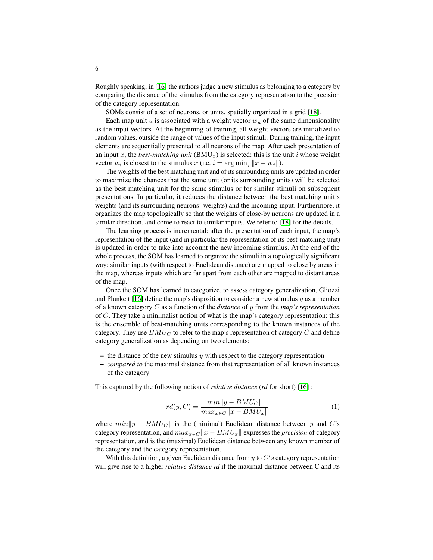Roughly speaking, in [\[16\]](#page-12-16) the authors judge a new stimulus as belonging to a category by comparing the distance of the stimulus from the category representation to the precision of the category representation.

SOMs consist of a set of neurons, or units, spatially organized in a grid [\[18\]](#page-12-11).

Each map unit u is associated with a weight vector  $w<sub>u</sub>$  of the same dimensionality as the input vectors. At the beginning of training, all weight vectors are initialized to random values, outside the range of values of the input stimuli. During training, the input elements are sequentially presented to all neurons of the map. After each presentation of an input x, the *best-matching unit*  $(BMU<sub>x</sub>)$  is selected: this is the unit i whose weight vector  $w_i$  is closest to the stimulus  $x$  (i.e.  $i = \arg \min_j ||x - w_j||$ ).

The weights of the best matching unit and of its surrounding units are updated in order to maximize the chances that the same unit (or its surrounding units) will be selected as the best matching unit for the same stimulus or for similar stimuli on subsequent presentations. In particular, it reduces the distance between the best matching unit's weights (and its surrounding neurons' weights) and the incoming input. Furthermore, it organizes the map topologically so that the weights of close-by neurons are updated in a similar direction, and come to react to similar inputs. We refer to [\[18\]](#page-12-11) for the details.

The learning process is incremental: after the presentation of each input, the map's representation of the input (and in particular the representation of its best-matching unit) is updated in order to take into account the new incoming stimulus. At the end of the whole process, the SOM has learned to organize the stimuli in a topologically significant way: similar inputs (with respect to Euclidean distance) are mapped to close by areas in the map, whereas inputs which are far apart from each other are mapped to distant areas of the map.

Once the SOM has learned to categorize, to assess category generalization, Gliozzi and Plunkett [\[16\]](#page-12-16) define the map's disposition to consider a new stimulus  $y$  as a member of a known category C as a function of the *distance* of y from the *map's representation* of  $C$ . They take a minimalist notion of what is the map's category representation: this is the ensemble of best-matching units corresponding to the known instances of the category. They use  $BMU<sub>C</sub>$  to refer to the map's representation of category C and define category generalization as depending on two elements:

- the distance of the new stimulus  $y$  with respect to the category representation
- *compared to* the maximal distance from that representation of all known instances of the category

This captured by the following notion of *relative distance* (*rd* for short) [\[16\]](#page-12-16) :

<span id="page-5-0"></span>
$$
rd(y, C) = \frac{min||y - BMU_C||}{max_{x \in C} ||x - BMU_x||}
$$
 (1)

where  $min||y - BMU_C||$  is the (minimal) Euclidean distance between y and C's category representation, and  $max_{x \in C} ||x - BMU_x||$  expresses the *precision* of category representation, and is the (maximal) Euclidean distance between any known member of the category and the category representation.

With this definition, a given Euclidean distance from  $y$  to  $C's$  category representation will give rise to a higher *relative distance rd* if the maximal distance between C and its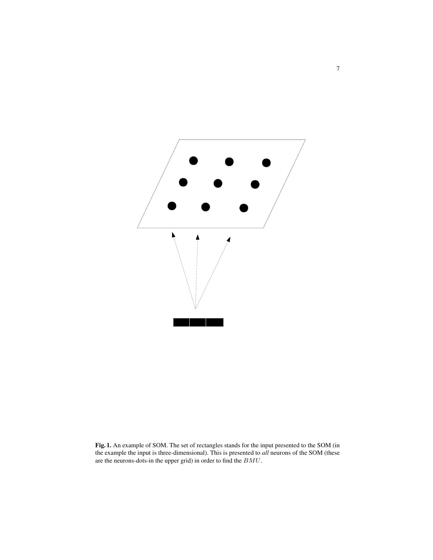

Fig. 1. An example of SOM. The set of rectangles stands for the input presented to the SOM (in the example the input is three-dimensional). This is presented to *all* neurons of the SOM (these are the neurons-dots-in the upper grid) in order to find the  ${\cal BMU}.$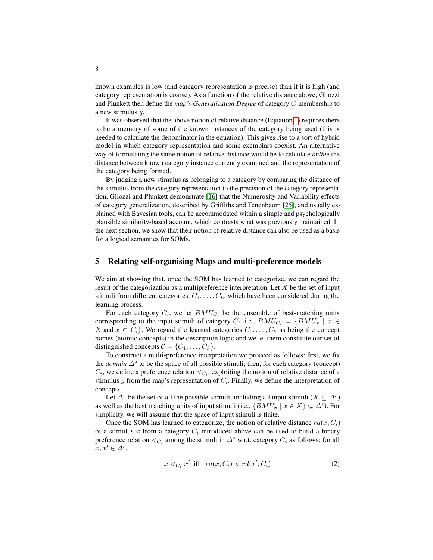known examples is low (and category representation is precise) than if it is high (and category representation is coarse). As a function of the relative distance above, Gliozzi and Plunkett then define the *map's Generalization Degree* of category C membership to a new stimulus y.

It was observed that the above notion of relative distance (Equation [1\)](#page-5-0) requires there to be a memory of some of the known instances of the category being used (this is needed to calculate the denominator in the equation). This gives rise to a sort of hybrid model in which category representation and some exemplars coexist. An alternative way of formulating the same notion of relative distance would be to calculate *online* the distance between known category instance currently examined and the representation of the category being formed.

By judging a new stimulus as belonging to a category by comparing the distance of the stimulus from the category representation to the precision of the category representation, Gliozzi and Plunkett demonstrate [\[16\]](#page-12-16) that the Numerosity and Variability effects of category generalization, described by Griffiths and Tenenbaum [\[25\]](#page-12-17), and usually explained with Bayesian tools, can be accommodated within a simple and psychologically plausible similarity-based account, which contrasts what was previously maintained. In the next section, we show that their notion of relative distance can also be used as a basis for a logical semantics for SOMs.

### 5 Relating self-organising Maps and multi-preference models

We aim at showing that, once the SOM has learned to categorize, we can regard the result of the categorization as a multipreference interpretation. Let  $X$  be the set of input stimuli from different categories,  $C_1, \ldots, C_k$ , which have been considered during the learning process.

For each category  $C_i$ , we let  $BMU_{C_i}$  be the ensemble of best-matching units corresponding to the input stimuli of category  $C_i$ , i.e.,  $BMU_{C_i} = \{BMU_x \mid x \in$ X and  $x \in C_i$ . We regard the learned categories  $C_1, \ldots, C_k$  as being the concept names (atomic concepts) in the description logic and we let them constitute our set of distinguished concepts  $C = \{C_1, \ldots, C_k\}.$ 

To construct a multi-preference interpretation we proceed as follows: first, we fix the *domain*  $\Delta^s$  to be the space of all possible stimuli; then, for each category (concept)  $C_i$ , we define a preference relation  $\langle C_i, \text{exploiting the notion of relative distance of a}$ stimulus y from the map's representation of  $C_i$ . Finally, we define the interpretation of concepts.

Let  $\Delta^s$  be the set of all the possible stimuli, including all input stimuli ( $X \subseteq \Delta^s$ ) as well as the best matching units of input stimuli (i.e.,  $\{BMU_x \mid x \in X\} \subseteq \Delta^s$ ). For simplicity, we will assume that the space of input stimuli is finite.

Once the SOM has learned to categorize, the notion of relative distance  $rd(x, C_i)$ of a stimulus x from a category  $C_i$  introduced above can be used to build a binary preference relation  $\lt_{C_i}$  among the stimuli in  $\Delta^s$  w.r.t. category  $C_i$  as follows: for all  $x, x' \in \Delta^s$ ,

<span id="page-7-0"></span>
$$
x <_{C_i} x' \text{ iff } rd(x, C_i) < rd(x', C_i)
$$
\n
$$
(2)
$$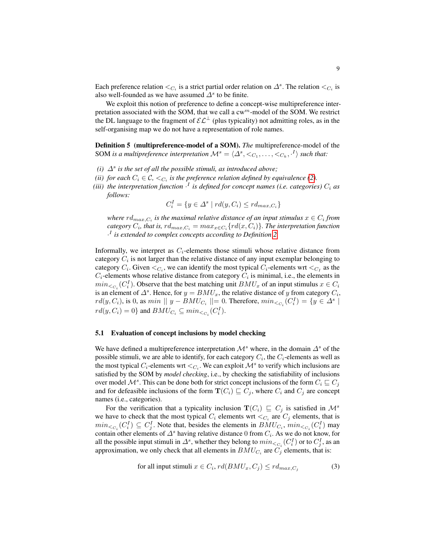Each preference relation  $\langle C_i \rangle$  is a strict partial order relation on  $\Delta^s$ . The relation  $\langle C_i \rangle$  is also well-founded as we have assumed  $\Delta^s$  to be finite.

We exploit this notion of preference to define a concept-wise multipreference interpretation associated with the SOM, that we call a  $cw^m$ -model of the SOM. We restrict the DL language to the fragment of  $\mathcal{EL}^{\perp}$  (plus typicality) not admitting roles, as in the self-organising map we do not have a representation of role names.

<span id="page-8-1"></span>Definition 5 (multipreference-model of a SOM). *The* multipreference-model of the SOM is a multipreference interpretation  $\mathcal{M}^s = \langle \Delta^s, \langle C_1, \ldots, \langle C_k, \cdot|^I \rangle$  such that:

- (*i*)  $\Delta^s$  *is the set of all the possible stimuli, as introduced above;*
- *(ii) for each*  $C_i \in \mathcal{C}$ ,  $\lt_{C_i}$  *is the preference relation defined by equivalence [\(2\)](#page-7-0).*
- (iii) the interpretation function  $\cdot^{I}$  is defined for concept names (i.e. categories)  $C_{i}$  as *follows:*

$$
C_i^I = \{ y \in \Delta^s \mid rd(y, C_i) \leq rd_{max, C_i} \}
$$

where  $rd_{max,C_i}$  is the maximal relative distance of an input stimulus  $x \in C_i$  from  $\emph{category $C_i$, that is, $\emph{rd}_{max,C_i} = max_{x \in C_i} \{rd(x, C_i)\}$.}$  The interpretation function · I *is extended to complex concepts according to Definition [2.](#page-2-0)*

Informally, we interpret as  $C_i$ -elements those stimuli whose relative distance from category  $C_i$  is not larger than the relative distance of any input exemplar belonging to category  $C_i$ . Given  $\langle C_i$ , we can identify the most typical  $C_i$ -elements wrt  $\langle C_I$  as the  $C_i$ -elements whose relative distance from category  $C_i$  is minimal, i.e., the elements in  $min_{\langle C_i} (C_i^I)$ . Observe that the best matching unit  $BMU_x$  of an input stimulus  $x \in C_i$ is an element of  $\Delta^s$ . Hence, for  $y = BMU_x$ , the relative distance of y from category  $C_i$ ,  $rd(y, C_i)$ , is 0, as  $min \mid y - BMU_{C_i} \mid \mid = 0$ . Therefore,  $min_{\leq C_i} (C_i^I) = \{ y \in \Delta^s \mid$  $rd(y, C_i) = 0$ } and  $BMU_{C_i} \subseteq min_{\leq C_i}(C_i^I)$ .

#### <span id="page-8-2"></span>5.1 Evaluation of concept inclusions by model checking

We have defined a multipreference interpretation  $\mathcal{M}^s$  where, in the domain  $\Delta^s$  of the possible stimuli, we are able to identify, for each category  $C_i$ , the  $C_i$ -elements as well as the most typical  $C_i$ -elements wrt  $\langle C_i$ . We can exploit  $\mathcal{M}^s$  to verify which inclusions are satisfied by the SOM by *model checking*, i.e., by checking the satisfiability of inclusions over model  $\mathcal{M}^s$ . This can be done both for strict concept inclusions of the form  $C_i \sqsubseteq C_j$ and for defeasible inclusions of the form  $\mathbf{T}(C_i) \sqsubseteq C_j$ , where  $C_i$  and  $C_j$  are concept names (i.e., categories).

For the verification that a typicality inclusion  $\mathbf{T}(C_i) \subseteq C_j$  is satisfied in  $\mathcal{M}^s$ we have to check that the most typical  $C_i$  elements wrt  $\langle C_i \rangle$  are  $C_j$  elements, that is  $min_{c \in C_i} (C_i^I) \subseteq C_j^I$ . Note that, besides the elements in  $BMU_{C_i}$ ,  $min_{c \in C_i} (C_i^I)$  may contain other elements of  $\Delta^s$  having relative distance 0 from  $C_i$ . As we do not know, for all the possible input stimuli in  $\Delta^s$ , whether they belong to  $min_{\leq C_i} (C_i^I)$  or to  $C_j^I$ , as an approximation, we only check that all elements in  $BMU_{C_i}$  are  $C_j$  elements, that is:

<span id="page-8-0"></span>for all input stimuli 
$$
x \in C_i
$$
,  $rd(BMU_x, C_j) \leq rd_{max, C_j}$  (3)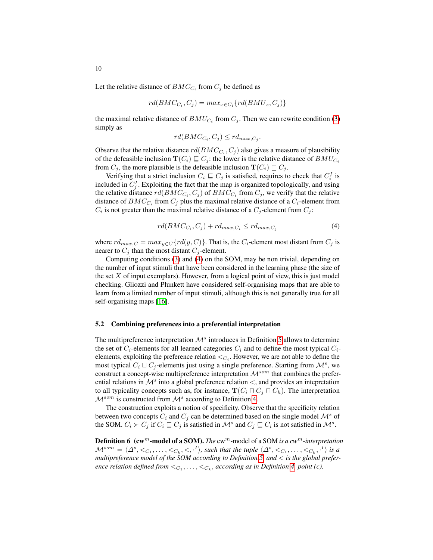Let the relative distance of  $BMC_{C_i}$  from  $C_j$  be defined as

$$
rd(BMC_{C_i}, C_j) = max_{x \in C_i} \{rd(BMU_x, C_j)\}
$$

the maximal relative distance of  $BMU_{C_i}$  from  $C_j$ . Then we can rewrite condition [\(3\)](#page-8-0) simply as

$$
rd(BMC_{C_i}, C_j) \leq rd_{max, C_j}.
$$

Observe that the relative distance  $rd(BMC_{C_i}, C_j)$  also gives a measure of plausibility of the defeasible inclusion  $\mathbf{T}(C_i) \sqsubseteq C_j$ : the lower is the relative distance of  $BMU_{C_i}$ from  $C_i$ , the more plausible is the defeasible inclusion  $\mathbf{T}(C_i) \sqsubseteq C_i$ .

Verifying that a strict inclusion  $C_i \sqsubseteq C_j$  is satisfied, requires to check that  $C_i^I$  is included in  $C_j^I$ . Exploiting the fact that the map is organized topologically, and using the relative distance  $rd(BMC_{C_i}, C_j)$  of  $BMC_{C_i}$  from  $C_j$ , we verify that the relative distance of  $BMC_{C_i}$  from  $C_j$  plus the maximal relative distance of a  $C_i$ -element from  $C_i$  is not greater than the maximal relative distance of a  $C_j$ -element from  $C_j$ :

<span id="page-9-0"></span>
$$
rd(BMC_{C_i}, C_j) + rd_{max, C_i} \le rd_{max, C_j}
$$
\n<sup>(4)</sup>

where  $rd_{max,C} = max_{y \in C} \{rd(y, C)\}\)$ . That is, the  $C_i$ -element most distant from  $C_j$  is nearer to  $C_j$  than the most distant  $C_j$ -element.

Computing conditions [\(3\)](#page-8-0) and [\(4\)](#page-9-0) on the SOM, may be non trivial, depending on the number of input stimuli that have been considered in the learning phase (the size of the set  $X$  of input exemplars). However, from a logical point of view, this is just model checking. Gliozzi and Plunkett have considered self-organising maps that are able to learn from a limited number of input stimuli, although this is not generally true for all self-organising maps [\[16\]](#page-12-16).

#### 5.2 Combining preferences into a preferential interpretation

The multipreference interpretation  $\mathcal{M}^s$  introduces in Definition [5](#page-8-1) allows to determine the set of  $C_i$ -elements for all learned categories  $C_i$  and to define the most typical  $C_i$ elements, exploiting the preference relation  $\lt_{C_i}$ . However, we are not able to define the most typical  $C_i \sqcup C_j$ -elements just using a single preference. Starting from  $\mathcal{M}^s$ , we construct a concept-wise multipreference interpretation  $\mathcal{M}^{som}$  that combines the preferential relations in  $\mathcal{M}^s$  into a global preference relation  $\lt$ , and provides an intepretation to all typicality concepts such as, for instance,  $\mathbf{T}(C_i \cap C_j \cap C_h)$ . The interpretation  $\mathcal{M}^{som}$  is constructed from  $\mathcal{M}^{s}$  according to Definition [4.](#page-3-0)

The construction exploits a notion of specificity. Observe that the specificity relation between two concepts  $C_i$  and  $C_j$  can be determined based on the single model  $\mathcal{M}^s$  of the SOM.  $C_i \succ C_j$  if  $C_i \sqsubseteq C_j$  is satisfied in  $\mathcal{M}^s$  and  $C_j \sqsubseteq C_i$  is not satisfied in  $\mathcal{M}^s$ .

Definition 6 (cw<sup>m</sup>-model of a SOM). *The* cw<sup>m</sup>-model of a SOM *is a cw*<sup>m</sup>*-interpretation*  $\mathcal{M}^{som} = \langle \Delta^s, <_{C_1}, \ldots, <_{C_k}, <, \cdot^I \rangle$ , such that the tuple  $\langle \Delta^s, <_{C_1}, \ldots, <_{C_k}, \cdot^I \rangle$  is a *multipreference model of the SOM according to Definition [5,](#page-8-1) and* < *is the global prefer*ence relation defined from  $\lt_{C_1}, \ldots, \lt_{C_k}$ , according as in Definition [4,](#page-3-0) point (c).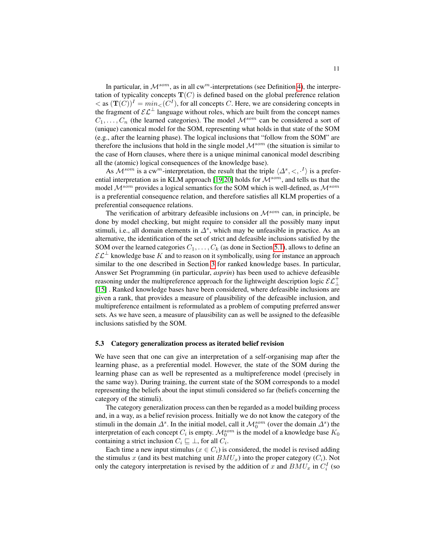In particular, in  $M^{som}$ , as in all cw<sup>m</sup>-interpretations (see Definition [4\)](#page-3-0), the interpretation of typicality concepts  $T(C)$  is defined based on the global preference relation  $\langle \cos(\mathbf{T}(C)) \rangle^I = min_{\langle C \rangle}$ , for all concepts C. Here, we are considering concepts in the fragment of  $\mathcal{EL}^{\perp}$  language without roles, which are built from the concept names  $C_1, \ldots, C_n$  (the learned categories). The model  $\mathcal{M}^{som}$  can be considered a sort of (unique) canonical model for the SOM, representing what holds in that state of the SOM (e.g., after the learning phase). The logical inclusions that "follow from the SOM" are therefore the inclusions that hold in the single model  $\mathcal{M}^{som}$  (the situation is similar to the case of Horn clauses, where there is a unique minimal canonical model describing all the (atomic) logical consequences of the knowledge base).

As  $\mathcal{M}^{som}$  is a cw<sup>m</sup>-interpretation, the result that the triple  $\langle \Delta^s, \langle , \cdot \rangle$  is a prefer-ential interpretation as in KLM approach [\[19](#page-12-3)[,20\]](#page-12-4) holds for  $\mathcal{M}^{som}$ , and tells us that the model  $\mathcal{M}^{som}$  provides a logical semantics for the SOM which is well-defined, as  $\mathcal{M}^{som}$ is a preferential consequence relation, and therefore satisfies all KLM properties of a preferential consequence relations.

The verification of arbitrary defeasible inclusions on  $\mathcal{M}^{som}$  can, in principle, be done by model checking, but might require to consider all the possibly many input stimuli, i.e., all domain elements in  $\Delta^s$ , which may be unfeasible in practice. As an alternative, the identification of the set of strict and defeasible inclusions satisfied by the SOM over the learned categories  $C_1, \ldots, C_k$  (as done in Section [5.1\)](#page-8-2), allows to define an  $\mathcal{EL}^{\perp}$  knowledge base K and to reason on it symbolically, using for instance an approach similar to the one described in Section [3](#page-2-1) for ranked knowledge bases. In particular, Answer Set Programming (in particular, *asprin*) has been used to achieve defeasible reasoning under the multipreference approach for the lightweight description logic  $\mathcal{EL}^+_{\perp}$ [\[15\]](#page-12-10) . Ranked knowledge bases have been considered, where defeasible inclusions are given a rank, that provides a measure of plausibility of the defeasible inclusion, and multipreference entailment is reformulated as a problem of computing preferred answer sets. As we have seen, a measure of plausibility can as well be assigned to the defeasible inclusions satisfied by the SOM.

#### 5.3 Category generalization process as iterated belief revision

We have seen that one can give an interpretation of a self-organising map after the learning phase, as a preferential model. However, the state of the SOM during the learning phase can as well be represented as a multipreference model (precisely in the same way). During training, the current state of the SOM corresponds to a model representing the beliefs about the input stimuli considered so far (beliefs concerning the category of the stimuli).

The category generalization process can then be regarded as a model building process and, in a way, as a belief revision process. Initially we do not know the category of the stimuli in the domain  $\Delta^s$ . In the initial model, call it  $\mathcal{M}_0^{som}$  (over the domain  $\Delta^s$ ) the interpretation of each concept  $C_i$  is empty.  $\mathcal{M}_0^{som}$  is the model of a knowledge base  $K_0$ containing a strict inclusion  $C_i \sqsubseteq \bot$ , for all  $C_i$ .

Each time a new input stimulus ( $x \in C_i$ ) is considered, the model is revised adding the stimulus x (and its best matching unit  $BMU_x$ ) into the proper category  $(C_i)$ . Not only the category interpretation is revised by the addition of x and  $BMU_x$  in  $C_i^I$  (so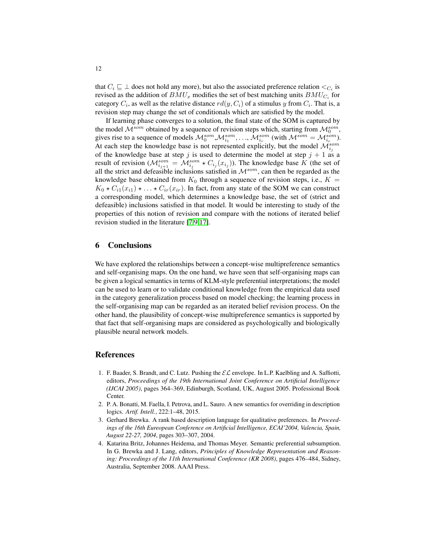that  $C_i \sqsubseteq \bot$  does not hold any more), but also the associated preference relation  $\lt_{C_i}$  is revised as the addition of  $BMU_x$  modifies the set of best matching units  $BMU_{C_i}$  for category  $C_i$ , as well as the relative distance  $rd(y, C_i)$  of a stimulus y from  $C_i$ . That is, a revision step may change the set of conditionals which are satisfied by the model.

If learning phase converges to a solution, the final state of the SOM is captured by the model  $\mathcal{M}^{som}$  obtained by a sequence of revision steps which, starting from  $\mathcal{M}^{som}_0$ , gives rise to a sequence of models  $M_0^{som}, M_{i_1}^{som}, \ldots, M_{i_r}^{som}$  (with  $M^{som} = M_{i_r}^{som}$ ). At each step the knowledge base is not represented explicitly, but the model  $\mathcal{M}_{i_j}^{som}$ of the knowledge base at step j is used to determine the model at step  $j + 1$  as a result of revision ( $M_{i_{j+1}}^{som} = M_{i_j}^{som} * C_{i_j}(x_{i_j})$ ). The knowledge base K (the set of all the strict and defeasible inclusions satisfied in  $\mathcal{M}^{som}$ , can then be regarded as the knowledge base obtained from  $K_0$  through a sequence of revision steps, i.e.,  $K =$  $K_0 \star C_{i1}(x_{i1}) \star \ldots \star C_{ir}(x_{ir})$ . In fact, from any state of the SOM we can construct a corresponding model, which determines a knowledge base, the set of (strict and defeasible) inclusions satisfied in that model. It would be interesting to study of the properties of this notion of revision and compare with the notions of iterated belief revision studied in the literature [\[7,](#page-12-18)[9,](#page-12-19)[17\]](#page-12-20).

### 6 Conclusions

We have explored the relationships between a concept-wise multipreference semantics and self-organising maps. On the one hand, we have seen that self-organising maps can be given a logical semantics in terms of KLM-style preferential interpretations; the model can be used to learn or to validate conditional knowledge from the empirical data used in the category generalization process based on model checking; the learning process in the self-organising map can be regarded as an iterated belief revision process. On the other hand, the plausibility of concept-wise multipreference semantics is supported by that fact that self-organising maps are considered as psychologically and biologically plausible neural network models.

## References

- <span id="page-11-1"></span>1. F. Baader, S. Brandt, and C. Lutz. Pushing the  $\mathcal{EL}$  envelope. In L.P. Kaelbling and A. Saffiotti, editors, *Proceedings of the 19th International Joint Conference on Artificial Intelligence (IJCAI 2005)*, pages 364–369, Edinburgh, Scotland, UK, August 2005. Professional Book Center.
- <span id="page-11-3"></span>2. P. A. Bonatti, M. Faella, I. Petrova, and L. Sauro. A new semantics for overriding in description logics. *Artif. Intell.*, 222:1–48, 2015.
- <span id="page-11-2"></span>3. Gerhard Brewka. A rank based description language for qualitative preferences. In *Proceedings of the 16th Eureopean Conference on Artificial Intelligence, ECAI'2004, Valencia, Spain, August 22-27, 2004*, pages 303–307, 2004.
- <span id="page-11-0"></span>4. Katarina Britz, Johannes Heidema, and Thomas Meyer. Semantic preferential subsumption. In G. Brewka and J. Lang, editors, *Principles of Knowledge Representation and Reasoning: Proceedings of the 11th International Conference (KR 2008)*, pages 476–484, Sidney, Australia, September 2008. AAAI Press.